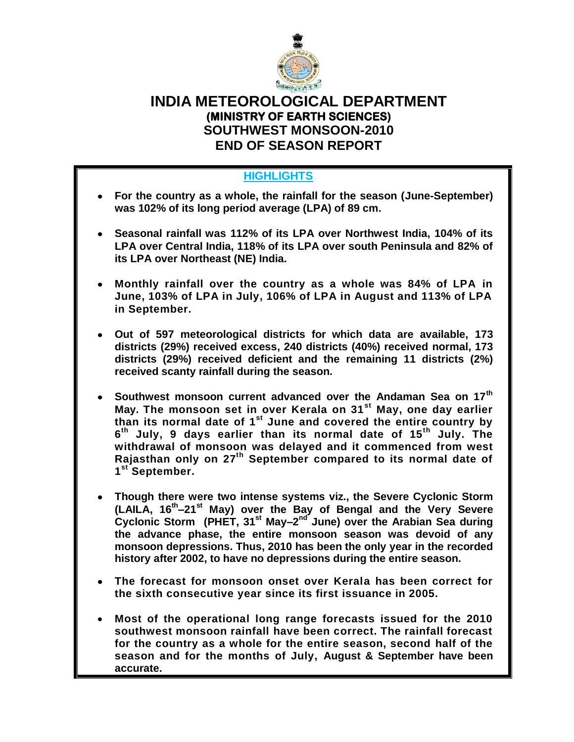

# **INDIA METEOROLOGICAL DEPARTMENT (MINISTRY OF EARTH SCIENCES) SOUTHWEST MONSOON-2010 END OF SEASON REPORT**

# **HIGHLIGHTS**

- **For the country as a whole, the rainfall for the season (June-September) was 102% of its long period average (LPA) of 89 cm.**
- **Seasonal rainfall was 112% of its LPA over Northwest India, 104% of its LPA over Central India, 118% of its LPA over south Peninsula and 82% of its LPA over Northeast (NE) India.**
- **Monthly rainfall over the country as a whole was 84% of LPA in June, 103% of LPA in July, 106% of LPA in August and 113% of LPA in September.**
- **Out of 597 meteorological districts for which data are available, 173 districts (29%) received excess, 240 districts (40%) received normal, 173 districts (29%) received deficient and the remaining 11 districts (2%) received scanty rainfall during the season.**
- **Southwest monsoon current advanced over the Andaman Sea on 17th May. The monsoon set in over Kerala on 31st May, one day earlier than its normal date of 1st June and covered the entire country by 6 th July, 9 days earlier than its normal date of 15th July. The withdrawal of monsoon was delayed and it commenced from west Rajasthan only on 27 th September compared to its normal date of 1 st September.**
- **Though there were two intense systems viz., the Severe Cyclonic Storm (LAILA, 16th –21st May) over the Bay of Bengal and the Very Severe**  Cyclonic Storm (PHET, 31<sup>st</sup> May–2<sup>nd</sup> June) over the Arabian Sea during **the advance phase, the entire monsoon season was devoid of any monsoon depressions. Thus, 2010 has been the only year in the recorded history after 2002, to have no depressions during the entire season.**
- **The forecast for monsoon onset over Kerala has been correct for the sixth consecutive year since its first issuance in 2005.**
- **Most of the operational long range forecasts issued for the 2010 southwest monsoon rainfall have been correct. The rainfall forecast for the country as a whole for the entire season, second half of the season and for the months of July, August & September have been accurate.**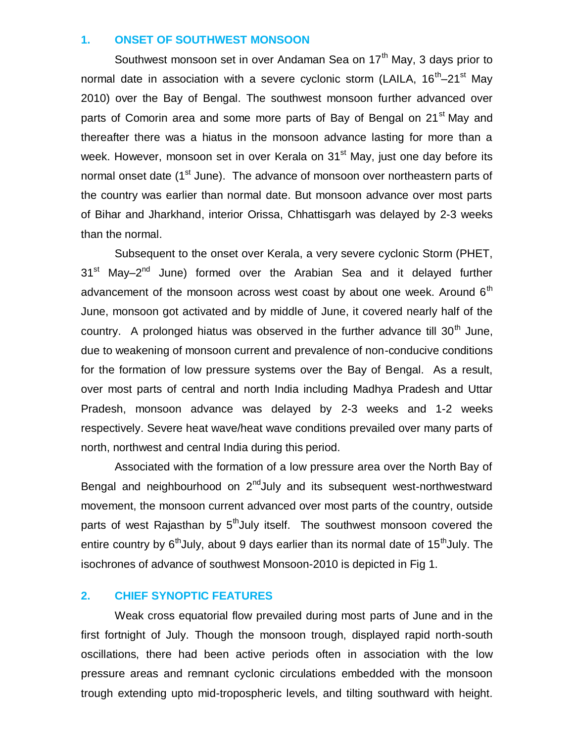#### **1. ONSET OF SOUTHWEST MONSOON**

Southwest monsoon set in over Andaman Sea on  $17<sup>th</sup>$  May, 3 days prior to normal date in association with a severe cyclonic storm (LAILA, 16<sup>th</sup>–21<sup>st</sup> May 2010) over the Bay of Bengal. The southwest monsoon further advanced over parts of Comorin area and some more parts of Bay of Bengal on 21<sup>st</sup> May and thereafter there was a hiatus in the monsoon advance lasting for more than a week. However, monsoon set in over Kerala on 31<sup>st</sup> May, just one day before its normal onset date (1<sup>st</sup> June). The advance of monsoon over northeastern parts of the country was earlier than normal date. But monsoon advance over most parts of Bihar and Jharkhand, interior Orissa, Chhattisgarh was delayed by 2-3 weeks than the normal.

Subsequent to the onset over Kerala, a very severe cyclonic Storm (PHET, 31<sup>st</sup> May–2<sup>nd</sup> June) formed over the Arabian Sea and it delayed further advancement of the monsoon across west coast by about one week. Around  $6<sup>th</sup>$ June, monsoon got activated and by middle of June, it covered nearly half of the country. A prolonged hiatus was observed in the further advance till  $30<sup>th</sup>$  June, due to weakening of monsoon current and prevalence of non-conducive conditions for the formation of low pressure systems over the Bay of Bengal. As a result, over most parts of central and north India including Madhya Pradesh and Uttar Pradesh, monsoon advance was delayed by 2-3 weeks and 1-2 weeks respectively. Severe heat wave/heat wave conditions prevailed over many parts of north, northwest and central India during this period.

Associated with the formation of a low pressure area over the North Bay of Bengal and neighbourhood on  $2^{nd}$ July and its subsequent west-northwestward movement, the monsoon current advanced over most parts of the country, outside parts of west Rajasthan by  $5<sup>th</sup>$ July itself. The southwest monsoon covered the entire country by  $6<sup>th</sup>$ July, about 9 days earlier than its normal date of 15<sup>th</sup>July. The isochrones of advance of southwest Monsoon-2010 is depicted in Fig 1.

#### **2. CHIEF SYNOPTIC FEATURES**

Weak cross equatorial flow prevailed during most parts of June and in the first fortnight of July. Though the monsoon trough, displayed rapid north-south oscillations, there had been active periods often in association with the low pressure areas and remnant cyclonic circulations embedded with the monsoon trough extending upto mid-tropospheric levels, and tilting southward with height.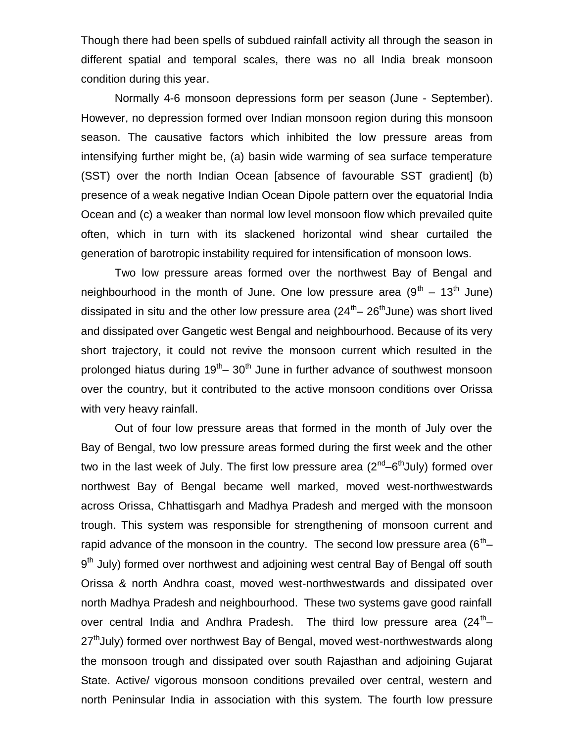Though there had been spells of subdued rainfall activity all through the season in different spatial and temporal scales, there was no all India break monsoon condition during this year.

Normally 4-6 monsoon depressions form per season (June - September). However, no depression formed over Indian monsoon region during this monsoon season. The causative factors which inhibited the low pressure areas from intensifying further might be, (a) basin wide warming of sea surface temperature (SST) over the north Indian Ocean [absence of favourable SST gradient] (b) presence of a weak negative Indian Ocean Dipole pattern over the equatorial India Ocean and (c) a weaker than normal low level monsoon flow which prevailed quite often, which in turn with its slackened horizontal wind shear curtailed the generation of barotropic instability required for intensification of monsoon lows.

Two low pressure areas formed over the northwest Bay of Bengal and neighbourhood in the month of June. One low pressure area  $(9^{th} - 13^{th}$  June) dissipated in situ and the other low pressure area (24<sup>th</sup>– 26<sup>th</sup>June) was short lived and dissipated over Gangetic west Bengal and neighbourhood. Because of its very short trajectory, it could not revive the monsoon current which resulted in the prolonged hiatus during 19<sup>th</sup>– 30<sup>th</sup> June in further advance of southwest monsoon over the country, but it contributed to the active monsoon conditions over Orissa with very heavy rainfall.

Out of four low pressure areas that formed in the month of July over the Bay of Bengal, two low pressure areas formed during the first week and the other two in the last week of July. The first low pressure area ( $2^{nd}$ –6<sup>th</sup>July) formed over northwest Bay of Bengal became well marked, moved west-northwestwards across Orissa, Chhattisgarh and Madhya Pradesh and merged with the monsoon trough. This system was responsible for strengthening of monsoon current and rapid advance of the monsoon in the country. The second low pressure area (6<sup>th</sup>– 9<sup>th</sup> July) formed over northwest and adjoining west central Bay of Bengal off south Orissa & north Andhra coast, moved west-northwestwards and dissipated over north Madhya Pradesh and neighbourhood. These two systems gave good rainfall over central India and Andhra Pradesh. The third low pressure area (24<sup>th</sup> $-$ 27<sup>th</sup>July) formed over northwest Bay of Bengal, moved west-northwestwards along the monsoon trough and dissipated over south Rajasthan and adjoining Gujarat State. Active/ vigorous monsoon conditions prevailed over central, western and north Peninsular India in association with this system. The fourth low pressure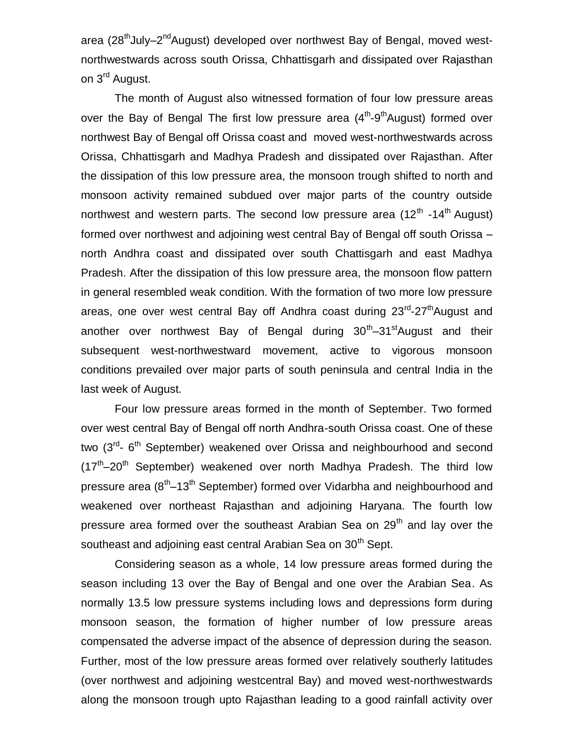area (28<sup>th</sup>July–2<sup>nd</sup>August) developed over northwest Bay of Bengal, moved westnorthwestwards across south Orissa, Chhattisgarh and dissipated over Rajasthan on 3<sup>rd</sup> August.

The month of August also witnessed formation of four low pressure areas over the Bay of Bengal The first low pressure area (4<sup>th</sup>-9<sup>th</sup>August) formed over northwest Bay of Bengal off Orissa coast and moved west-northwestwards across Orissa, Chhattisgarh and Madhya Pradesh and dissipated over Rajasthan. After the dissipation of this low pressure area, the monsoon trough shifted to north and monsoon activity remained subdued over major parts of the country outside northwest and western parts. The second low pressure area (12<sup>th</sup> -14<sup>th</sup> August) formed over northwest and adjoining west central Bay of Bengal off south Orissa – north Andhra coast and dissipated over south Chattisgarh and east Madhya Pradesh. After the dissipation of this low pressure area, the monsoon flow pattern in general resembled weak condition. With the formation of two more low pressure areas, one over west central Bay off Andhra coast during 23<sup>rd</sup>-27<sup>th</sup>August and another over northwest Bay of Bengal during 30<sup>th</sup>–31<sup>st</sup>August and their subsequent west-northwestward movement, active to vigorous monsoon conditions prevailed over major parts of south peninsula and central India in the last week of August.

Four low pressure areas formed in the month of September. Two formed over west central Bay of Bengal off north Andhra-south Orissa coast. One of these two (3<sup>rd</sup>- 6<sup>th</sup> September) weakened over Orissa and neighbourhood and second  $(17<sup>th</sup>-20<sup>th</sup>$  September) weakened over north Madhya Pradesh. The third low pressure area (8<sup>th</sup>–13<sup>th</sup> September) formed over Vidarbha and neighbourhood and weakened over northeast Rajasthan and adjoining Haryana. The fourth low pressure area formed over the southeast Arabian Sea on  $29<sup>th</sup>$  and lay over the southeast and adjoining east central Arabian Sea on 30<sup>th</sup> Sept.

Considering season as a whole, 14 low pressure areas formed during the season including 13 over the Bay of Bengal and one over the Arabian Sea. As normally 13.5 low pressure systems including lows and depressions form during monsoon season, the formation of higher number of low pressure areas compensated the adverse impact of the absence of depression during the season. Further, most of the low pressure areas formed over relatively southerly latitudes (over northwest and adjoining westcentral Bay) and moved west-northwestwards along the monsoon trough upto Rajasthan leading to a good rainfall activity over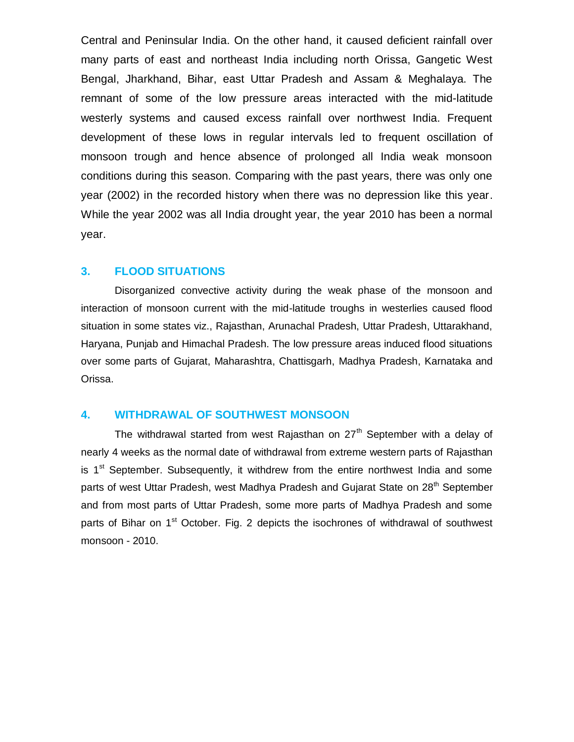Central and Peninsular India. On the other hand, it caused deficient rainfall over many parts of east and northeast India including north Orissa, Gangetic West Bengal, Jharkhand, Bihar, east Uttar Pradesh and Assam & Meghalaya. The remnant of some of the low pressure areas interacted with the mid-latitude westerly systems and caused excess rainfall over northwest India. Frequent development of these lows in regular intervals led to frequent oscillation of monsoon trough and hence absence of prolonged all India weak monsoon conditions during this season. Comparing with the past years, there was only one year (2002) in the recorded history when there was no depression like this year. While the year 2002 was all India drought year, the year 2010 has been a normal year.

#### **3. FLOOD SITUATIONS**

Disorganized convective activity during the weak phase of the monsoon and interaction of monsoon current with the mid-latitude troughs in westerlies caused flood situation in some states viz., Rajasthan, Arunachal Pradesh, Uttar Pradesh, Uttarakhand, Haryana, Punjab and Himachal Pradesh. The low pressure areas induced flood situations over some parts of Gujarat, Maharashtra, Chattisgarh, Madhya Pradesh, Karnataka and Orissa.

#### **4. WITHDRAWAL OF SOUTHWEST MONSOON**

The withdrawal started from west Rajasthan on  $27<sup>th</sup>$  September with a delay of nearly 4 weeks as the normal date of withdrawal from extreme western parts of Rajasthan is  $1<sup>st</sup>$  September. Subsequently, it withdrew from the entire northwest India and some parts of west Uttar Pradesh, west Madhya Pradesh and Gujarat State on 28<sup>th</sup> September and from most parts of Uttar Pradesh, some more parts of Madhya Pradesh and some parts of Bihar on 1<sup>st</sup> October. Fig. 2 depicts the isochrones of withdrawal of southwest monsoon - 2010.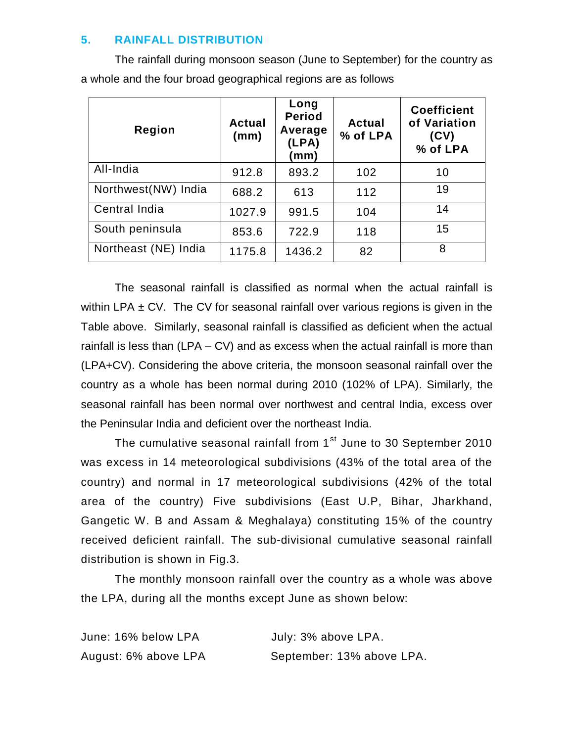# **5. RAINFALL DISTRIBUTION**

The rainfall during monsoon season (June to September) for the country as a whole and the four broad geographical regions are as follows

| Region               | <b>Actual</b><br>(mm) | Long<br><b>Period</b><br>Average<br>(LPA)<br>(mm) | <b>Actual</b><br>% of LPA | <b>Coefficient</b><br>of Variation<br>(CV)<br>% of LPA |
|----------------------|-----------------------|---------------------------------------------------|---------------------------|--------------------------------------------------------|
| All-India            | 912.8                 | 893.2                                             | 102                       | 10                                                     |
| Northwest(NW) India  | 688.2                 | 613                                               | 112                       | 19                                                     |
| Central India        | 1027.9                | 991.5                                             | 104                       | 14                                                     |
| South peninsula      | 853.6                 | 722.9                                             | 118                       | 15                                                     |
| Northeast (NE) India | 1175.8                | 1436.2                                            | 82                        | 8                                                      |

The seasonal rainfall is classified as normal when the actual rainfall is within LPA  $\pm$  CV. The CV for seasonal rainfall over various regions is given in the Table above. Similarly, seasonal rainfall is classified as deficient when the actual rainfall is less than (LPA – CV) and as excess when the actual rainfall is more than (LPA+CV). Considering the above criteria, the monsoon seasonal rainfall over the country as a whole has been normal during 2010 (102% of LPA). Similarly, the seasonal rainfall has been normal over northwest and central India, excess over the Peninsular India and deficient over the northeast India.

The cumulative seasonal rainfall from 1<sup>st</sup> June to 30 September 2010 was excess in 14 meteorological subdivisions (43% of the total area of the country) and normal in 17 meteorological subdivisions (42% of the total area of the country) Five subdivisions (East U.P, Bihar, Jharkhand, Gangetic W. B and Assam & Meghalaya) constituting 15% of the country received deficient rainfall. The sub-divisional cumulative seasonal rainfall distribution is shown in Fig.3.

The monthly monsoon rainfall over the country as a whole was above the LPA, during all the months except June as shown below:

| June: 16% below LPA  | July: 3% above LPA.       |
|----------------------|---------------------------|
| August: 6% above LPA | September: 13% above LPA. |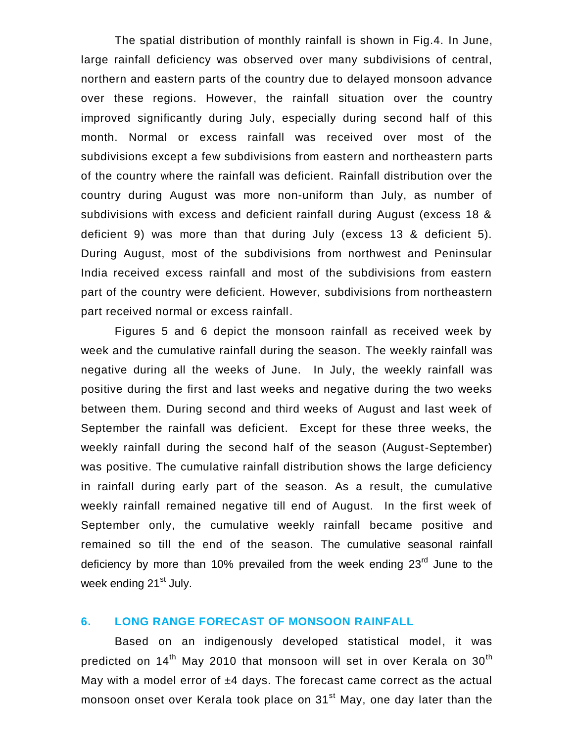The spatial distribution of monthly rainfall is shown in Fig.4. In June, large rainfall deficiency was observed over many subdivisions of central, northern and eastern parts of the country due to delayed monsoon advance over these regions. However, the rainfall situation over the country improved significantly during July, especially during second half of this month. Normal or excess rainfall was received over most of the subdivisions except a few subdivisions from eastern and northeastern parts of the country where the rainfall was deficient. Rainfall distribution over the country during August was more non-uniform than July, as number of subdivisions with excess and deficient rainfall during August (excess 18 & deficient 9) was more than that during July (excess 13 & deficient 5). During August, most of the subdivisions from northwest and Peninsular India received excess rainfall and most of the subdivisions from eastern part of the country were deficient. However, subdivisions from northeastern part received normal or excess rainfall.

Figures 5 and 6 depict the monsoon rainfall as received week by week and the cumulative rainfall during the season. The weekly rainfall was negative during all the weeks of June. In July, the weekly rainfall was positive during the first and last weeks and negative during the two weeks between them. During second and third weeks of August and last week of September the rainfall was deficient. Except for these three weeks, the weekly rainfall during the second half of the season (August-September) was positive. The cumulative rainfall distribution shows the large deficiency in rainfall during early part of the season. As a result, the cumulative weekly rainfall remained negative till end of August. In the first week of September only, the cumulative weekly rainfall became positive and remained so till the end of the season. The cumulative seasonal rainfall deficiency by more than 10% prevailed from the week ending  $23<sup>rd</sup>$  June to the week ending 21<sup>st</sup> July.

#### **6. LONG RANGE FORECAST OF MONSOON RAINFALL**

Based on an indigenously developed statistical model, it was predicted on 14<sup>th</sup> May 2010 that monsoon will set in over Kerala on 30<sup>th</sup> May with a model error of  $±4$  days. The forecast came correct as the actual monsoon onset over Kerala took place on 31<sup>st</sup> May, one day later than the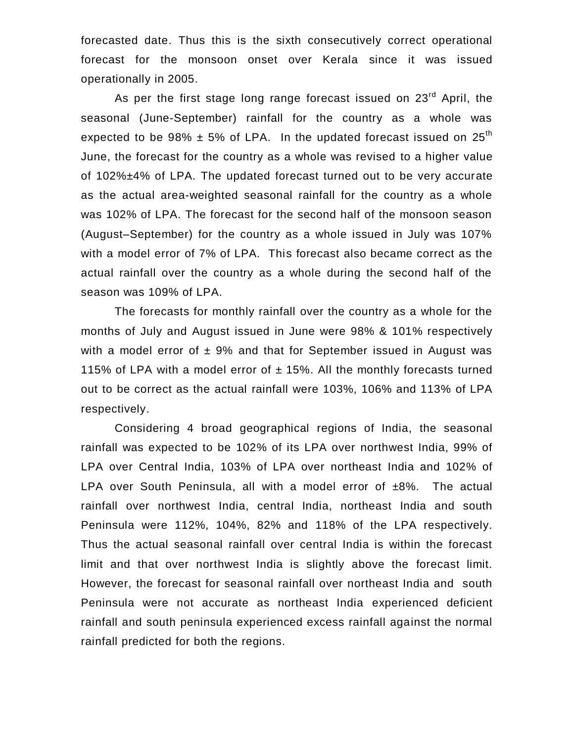forecasted date. Thus this is the sixth consecutively correct operational forecast for the monsoon onset over Kerala since it was issued operationally in 2005.

As per the first stage long range forecast issued on 23<sup>rd</sup> April, the seasonal (June-September) rainfall for the country as a whole was expected to be 98%  $\pm$  5% of LPA. In the updated forecast issued on 25<sup>th</sup> June, the forecast for the country as a whole was revised to a higher value of 102%±4% of LPA. The updated forecast turned out to be very accurate as the actual area-weighted seasonal rainfall for the country as a whole was 102% of LPA. The forecast for the second half of the monsoon season (August–September) for the country as a whole issued in July was 107% with a model error of 7% of LPA. This forecast also became correct as the actual rainfall over the country as a whole during the second half of the season was 109% of LPA.

The forecasts for monthly rainfall over the country as a whole for the months of July and August issued in June were 98% & 101% respectively with a model error of  $\pm$  9% and that for September issued in August was 115% of LPA with a model error of  $\pm$  15%. All the monthly forecasts turned out to be correct as the actual rainfall were 103%, 106% and 113% of LPA respectively.

Considering 4 broad geographical regions of India, the seasonal rainfall was expected to be 102% of its LPA over northwest India, 99% of LPA over Central India, 103% of LPA over northeast India and 102% of LPA over South Peninsula, all with a model error of ±8%. The actual rainfall over northwest India, central India, northeast India and south Peninsula were 112%, 104%, 82% and 118% of the LPA respectively. Thus the actual seasonal rainfall over central India is within the forecast limit and that over northwest India is slightly above the forecast limit. However, the forecast for seasonal rainfall over northeast India and south Peninsula were not accurate as northeast India experienced deficient rainfall and south peninsula experienced excess rainfall against the normal rainfall predicted for both the regions.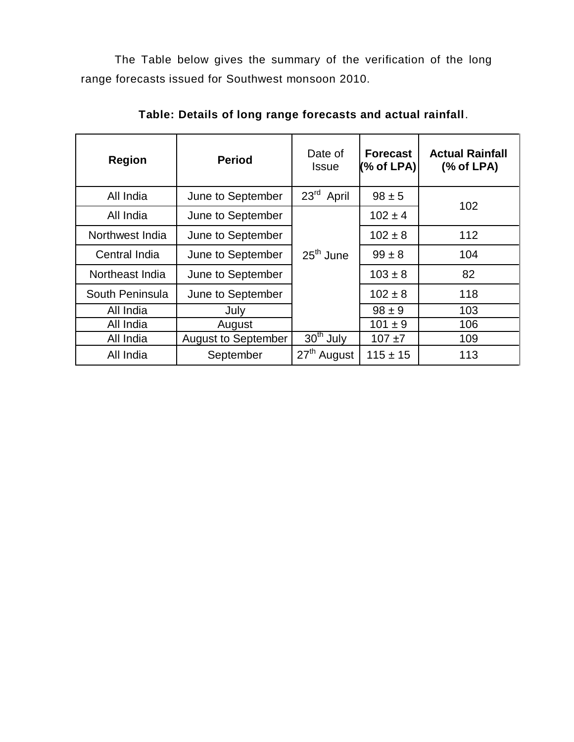The Table below gives the summary of the verification of the long range forecasts issued for Southwest monsoon 2010.

| <b>Region</b>   | <b>Period</b>              | Date of<br><b>Issue</b>   | <b>Forecast</b><br>$%$ of LPA) | <b>Actual Rainfall</b><br>% of LPA |
|-----------------|----------------------------|---------------------------|--------------------------------|------------------------------------|
| All India       | June to September          | 23 <sup>rd</sup><br>April | $98 \pm 5$                     | 102                                |
| All India       | June to September          |                           | $102 \pm 4$                    |                                    |
| Northwest India | June to September          |                           | $102 \pm 8$                    | 112                                |
| Central India   | June to September          |                           | $99 \pm 8$                     | 104                                |
| Northeast India | June to September          |                           | $103 \pm 8$                    | 82                                 |
| South Peninsula | June to September          |                           | $102 \pm 8$                    | 118                                |
| All India       | July                       |                           | $98 \pm 9$                     | 103                                |
| All India       | August                     |                           | $101 \pm 9$                    | 106                                |
| All India       | <b>August to September</b> | $30th$ July               | $107 + 7$                      | 109                                |
| All India       | September                  | 27 <sup>th</sup> August   | $115 \pm 15$                   | 113                                |

**Table: Details of long range forecasts and actual rainfall**.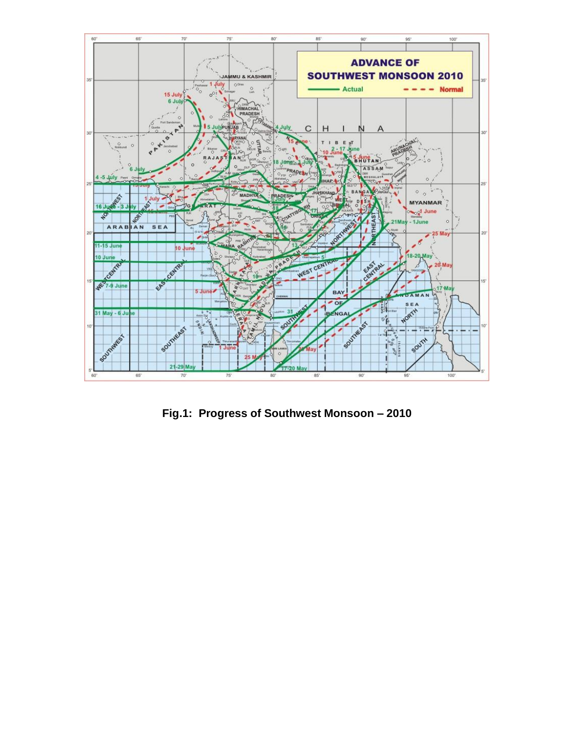

**Fig.1: Progress of Southwest Monsoon – 2010**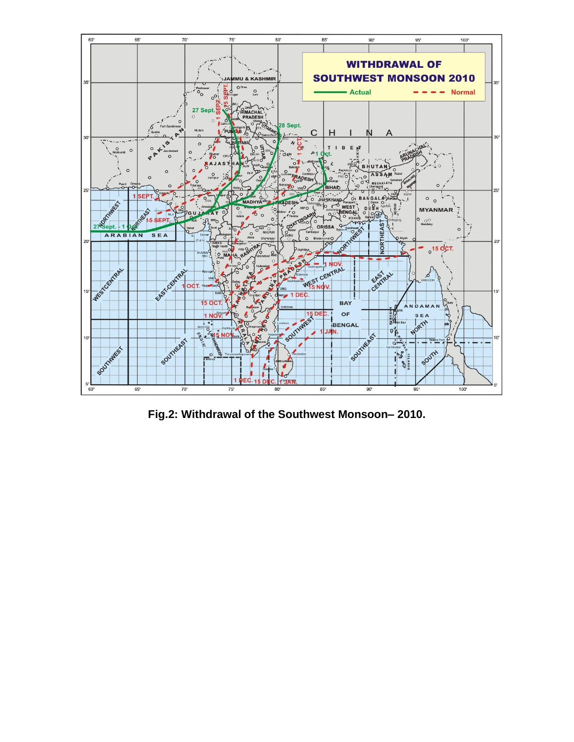

**Fig.2: Withdrawal of the Southwest Monsoon– 2010.**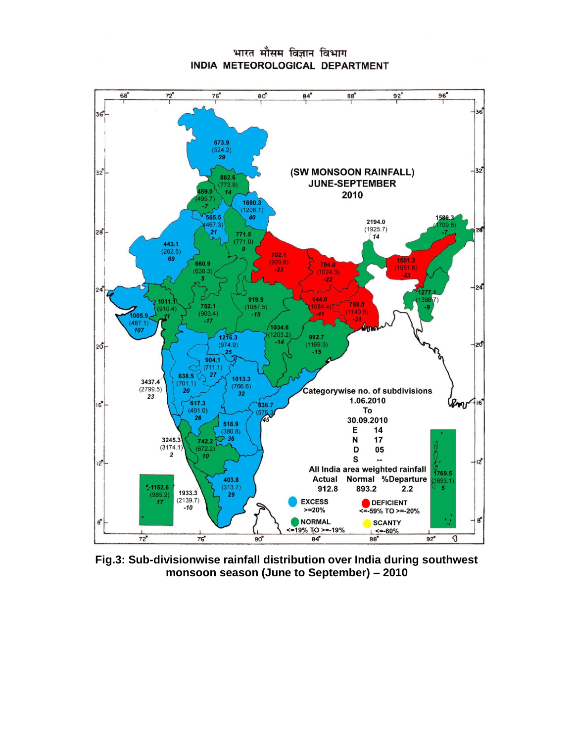

## भारत मौसम विज्ञान विभाग INDIA METEOROLOGICAL DEPARTMENT

**Fig.3: Sub-divisionwise rainfall distribution over India during southwest monsoon season (June to September) – 2010**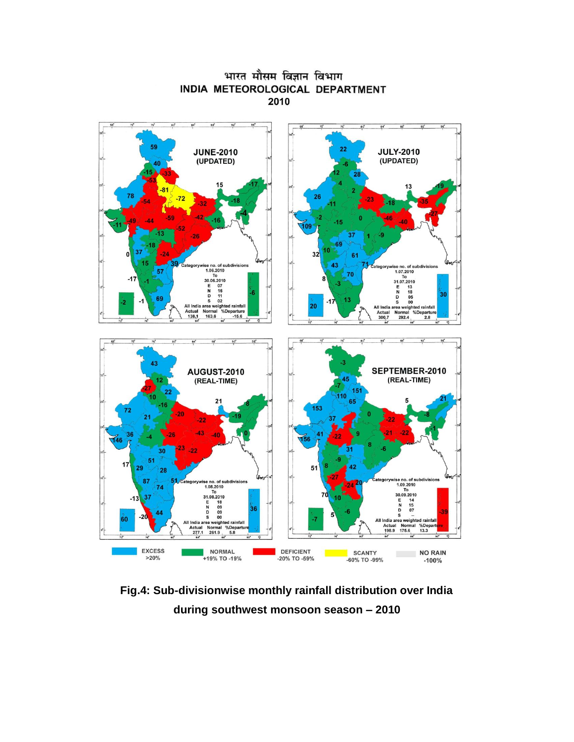

## भारत मौसम विज्ञान विभाग INDIA METEOROLOGICAL DEPARTMENT 2010

**Fig.4: Sub-divisionwise monthly rainfall distribution over India during southwest monsoon season – 2010**